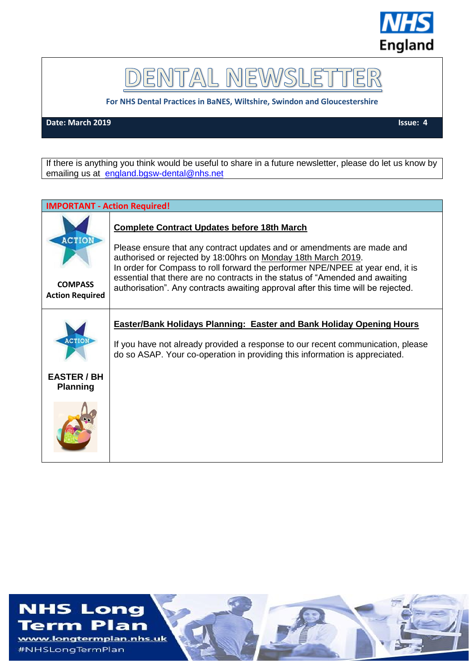

# DENTAL NEWSLET ER

**For NHS Dental Practices in BaNES, Wiltshire, Swindon and Gloucestershire**

**Date: March 2019** Issue: 4

If there is anything you think would be useful to share in a future newsletter, please do let us know by emailing us at [england.bgsw-dental@nhs.net](mailto:england.bgsw-dental@nhs.net)

|                                                           | <b>IMPORTANT - Action Required!</b>                                                                                                                                                                                                                                                                                                                                                                                                                  |
|-----------------------------------------------------------|------------------------------------------------------------------------------------------------------------------------------------------------------------------------------------------------------------------------------------------------------------------------------------------------------------------------------------------------------------------------------------------------------------------------------------------------------|
| <b>ACTION</b><br><b>COMPASS</b><br><b>Action Required</b> | <b>Complete Contract Updates before 18th March</b><br>Please ensure that any contract updates and or amendments are made and<br>authorised or rejected by 18:00hrs on Monday 18th March 2019.<br>In order for Compass to roll forward the performer NPE/NPEE at year end, it is<br>essential that there are no contracts in the status of "Amended and awaiting<br>authorisation". Any contracts awaiting approval after this time will be rejected. |
| <b>ACTION</b><br><b>EASTER / BH</b><br><b>Planning</b>    | <b>Easter/Bank Holidays Planning: Easter and Bank Holiday Opening Hours</b><br>If you have not already provided a response to our recent communication, please<br>do so ASAP. Your co-operation in providing this information is appreciated.                                                                                                                                                                                                        |

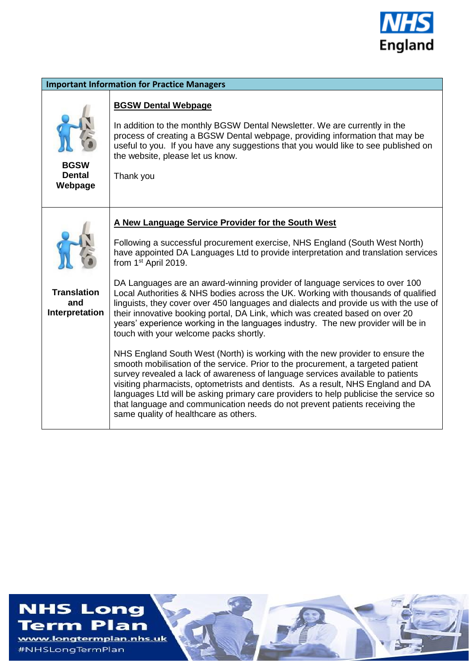

| <b>Important Information for Practice Managers</b> |                                                                                                                                                                                                                                                                                                                                                                                                                                                                                                                                                                                                                                                                                                                                                                                                                                                                                                                                                                                                                                                                                                                                                                                                                                                                                                  |  |  |  |
|----------------------------------------------------|--------------------------------------------------------------------------------------------------------------------------------------------------------------------------------------------------------------------------------------------------------------------------------------------------------------------------------------------------------------------------------------------------------------------------------------------------------------------------------------------------------------------------------------------------------------------------------------------------------------------------------------------------------------------------------------------------------------------------------------------------------------------------------------------------------------------------------------------------------------------------------------------------------------------------------------------------------------------------------------------------------------------------------------------------------------------------------------------------------------------------------------------------------------------------------------------------------------------------------------------------------------------------------------------------|--|--|--|
| <b>BGSW</b><br><b>Dental</b><br>Webpage            | <b>BGSW Dental Webpage</b><br>In addition to the monthly BGSW Dental Newsletter. We are currently in the<br>process of creating a BGSW Dental webpage, providing information that may be<br>useful to you. If you have any suggestions that you would like to see published on<br>the website, please let us know.<br>Thank you                                                                                                                                                                                                                                                                                                                                                                                                                                                                                                                                                                                                                                                                                                                                                                                                                                                                                                                                                                  |  |  |  |
| <b>Translation</b><br>and<br>Interpretation        | A New Language Service Provider for the South West<br>Following a successful procurement exercise, NHS England (South West North)<br>have appointed DA Languages Ltd to provide interpretation and translation services<br>from 1 <sup>st</sup> April 2019.<br>DA Languages are an award-winning provider of language services to over 100<br>Local Authorities & NHS bodies across the UK. Working with thousands of qualified<br>linguists, they cover over 450 languages and dialects and provide us with the use of<br>their innovative booking portal, DA Link, which was created based on over 20<br>years' experience working in the languages industry. The new provider will be in<br>touch with your welcome packs shortly.<br>NHS England South West (North) is working with the new provider to ensure the<br>smooth mobilisation of the service. Prior to the procurement, a targeted patient<br>survey revealed a lack of awareness of language services available to patients<br>visiting pharmacists, optometrists and dentists. As a result, NHS England and DA<br>languages Ltd will be asking primary care providers to help publicise the service so<br>that language and communication needs do not prevent patients receiving the<br>same quality of healthcare as others. |  |  |  |



#NHSLongTermPlan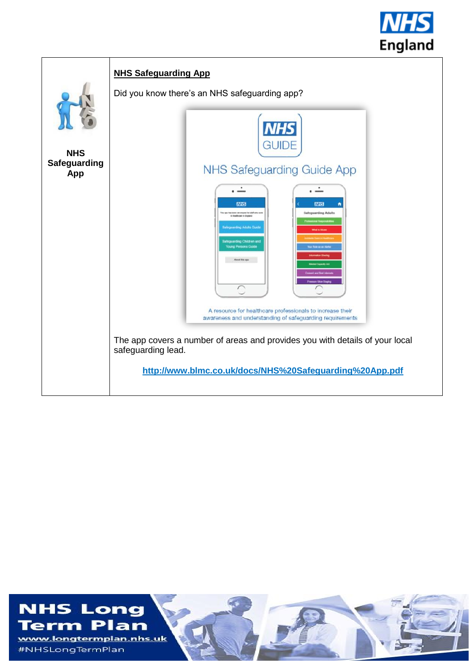